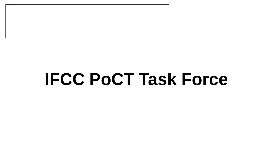

# **IFCC PoCT Task Force**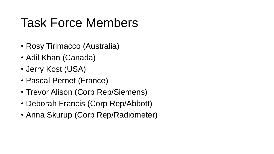### Task Force Members

- Rosy Tirimacco (Australia)
- Adil Khan (Canada)
- Jerry Kost (USA)
- Pascal Pernet (France)
- Trevor Alison (Corp Rep/Siemens)
- Deborah Francis (Corp Rep/Abbott)
- Anna Skurup (Corp Rep/Radiometer)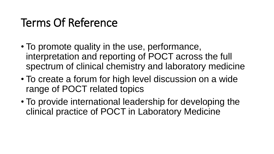#### Terms Of Reference

- To promote quality in the use, performance, interpretation and reporting of POCT across the full spectrum of clinical chemistry and laboratory medicine
- To create a forum for high level discussion on a wide range of POCT related topics
- To provide international leadership for developing the clinical practice of POCT in Laboratory Medicine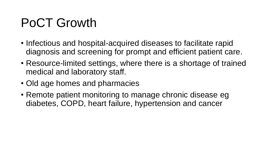## PoCT Growth

- Infectious and hospital-acquired diseases to facilitate rapid diagnosis and screening for prompt and efficient patient care.
- Resource-limited settings, where there is a shortage of trained medical and laboratory staff.
- Old age homes and pharmacies
- Remote patient monitoring to manage chronic disease eg diabetes, COPD, heart failure, hypertension and cancer